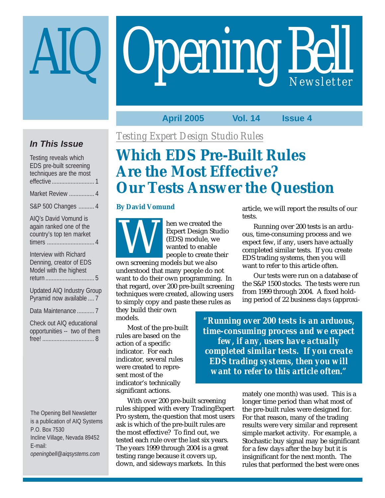# **Opening Bell**

**April 2005 Vol. 14 Issue 4**

## **In This Issue**

| Testing reveals which<br>EDS pre-built screening<br>techniques are the most  |
|------------------------------------------------------------------------------|
|                                                                              |
| Market Review  4                                                             |
| S&P 500 Changes  4                                                           |
| AIQ's David Vomund is<br>again ranked one of the<br>country's top ten market |

Interview with Richard Denning, creator of EDS Model with the highest return ............................... 5

Updated AIQ Industry Group Pyramid now available .... 7

Data Maintenance ........... 7

Check out AIQ educational opportunities -- two of them free! ................................. 8

The Opening Bell Newsletter is a publication of AIQ Systems P.O. Box 7530 Incline Village, Nevada 89452 E-mail: *openingbell@aiqsystems.com*

*Testing Expert Design Studio Rules*

# **Which EDS Pre-Built Rules Are the Most Effective? Our Tests Answer the Question**

#### **By David Vomund**



hen we created the Expert Design Studio (EDS) module, we wanted to enable people to create their Expert Design Studies.<br>
Expert Design Studies.<br>
Wanted to enable<br>
people to create the contract of the state of the state of the state of the state of the state of the state of the state of the state of the state of the st

understood that many people do not want to do their own programming. In that regard, over 200 pre-built screening techniques were created, allowing users to simply copy and paste these rules as

they build their own models.

Most of the pre-built rules are based on the action of a specific indicator. For each indicator, several rules were created to represent most of the indicator's technically significant actions.

With over 200 pre-built screening rules shipped with every TradingExpert Pro system, the question that most users ask is which of the pre-built rules are the most effective? To find out, we tested each rule over the last six years. The years 1999 through 2004 is a great testing range because it covers up, down, and sideways markets. In this

article, we will report the results of our tests.

Running over 200 tests is an arduous, time-consuming process and we expect few, if any, users have actually completed similar tests. If you create EDS trading systems, then you will want to refer to this article often.

Our tests were run on a database of the S&P 1500 stocks. The tests were run from 1999 through 2004. A fixed holding period of 22 business days (approxi-

*"Running over 200 tests is an arduous, time-consuming process and we expect few, if any, users have actually completed similar tests. If you create EDS trading systems, then you will want to refer to this article often."*

> mately one month) was used. This is a longer time period than what most of the pre-built rules were designed for. For that reason, many of the trading results were very similar and represent simple market activity. For example, a Stochastic buy signal may be significant for a few days after the buy but it is insignificant for the next month. The rules that performed the best were ones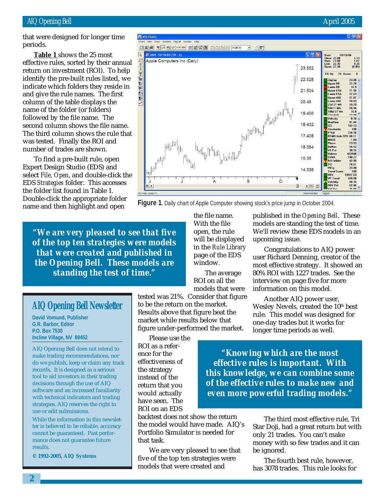#### AIQ Opening Bell **April 2005**

that were designed for longer time periods.

effective rules, sorted by their annual **Table 1** shows the 25 most return on investment (ROI). To help identify the pre-built rules listed, we indicate which folders they reside in and give the rule names. The first column of the table displays the name of the folder (or folders) followed by the file name. The second column shows the file name. The third column shows the rule that was tested. Finally the ROI and number of trades are shown.

To find a pre-built rule, open Expert Design Studio (EDS) and select *File, Open*, and double-click the EDS *Strategies* folder. This accesses the folder list found in Table 1. Double-click the appropriate folder name and then highlight and open

*"We are very pleased to see that five of the top ten strategies were models that were created and published in the Opening Bell. These models are standing the test of time."*

### **AIQ Opening Bell Newsletter**

**David Vomund, Publisher G.R. Barbor, Editor P.O. Box 7530 Incline Village, NV 89452**

AIQ Opening Bell does not intend to make trading recommendations, nor do we publish, keep or claim any track records. It is designed as a serious tool to aid investors in their trading decisions through the use of AIQ software and an increased familiarity with technical indicators and trading strategies. AIQ reserves the right to use or edit submissions.

While the information in this newsletter is believed to be reliable, accuracy cannot be guaranteed. Past performance does not guarantee future results.

**© 1992-2005, AIQ Systems**



**Figure 1.** Daily chart of Apple Computer showing stock's price jump in October 2004.

the file name. With the file open, the rule will be displayed in the *Rule Library* page of the EDS window.

The average ROI on all the models that were

tested was 21%. Consider that figure to be the return on the market. Results above that figure beat the market while results below that figure under-performed the market.

Please use the ROI as a reference for the effectiveness of the strategy instead of the return that you would actually have seen. The ROI on an EDS

backtest does not show the return the model would have made. AIQ's Portfolio Simulator is needed for that task.

We are very pleased to see that five of the top ten strategies were models that were created and

published in the *Opening Bell*. These models are standing the test of time. We'll review these EDS models in an upcoming issue.

Congratulations to AIQ power user Richard Denning, creator of the most effective strategy. It showed an 80% ROI with 1227 trades. See the interview on page five for more information on this model.

Another AIQ power user, Wesley Nevels, created the 10<sup>th</sup> best rule. This model was designed for one-day trades but it works for longer time periods as well.

*"Knowing which are the most effective rules is important. With this knowledge, we can combine some of the effective rules to make new and even more powerful trading models."*

> The third most effective rule, Tri Star Doji, had a great return but with only 21 trades. You can't make money with so few trades and it can be ignored.

The fourth best rule, however, has 3078 trades. This rule looks for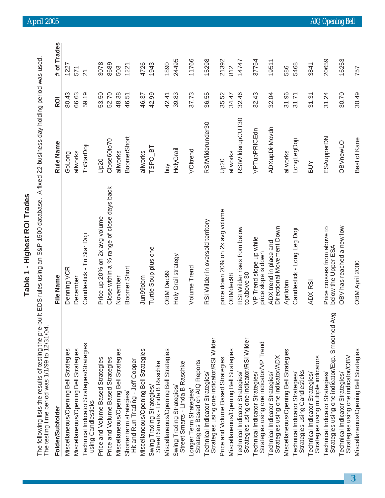|                                                                                                        | Table 1 - Highest ROI Trades                                                                 |                    |                |                          |
|--------------------------------------------------------------------------------------------------------|----------------------------------------------------------------------------------------------|--------------------|----------------|--------------------------|
| The following lists the results of testing the pre-<br>The testing time period was 1/1/99 to 12/31/04. | built EDS rules using an S&P 1500 database. A fixed 22-business day holding period was used. |                    |                |                          |
| Folder/Subfolder                                                                                       | File Name                                                                                    | Rule Name          | R <sub>O</sub> | # of Trades              |
| Miscellaneous/Opening Bell Strategies                                                                  | Denning VCR                                                                                  | GoLong             | 80.43          | 1227                     |
| Miscellaneous/Opening Bell Strategies                                                                  | December                                                                                     | allworks           | 66.63          | 571                      |
| Technical Indicator Strategies/Strategies<br>using Candlesticks                                        | Candlestick - Tri Star Doji                                                                  | TriStarDoji        | 59.19          | $\overline{\mathcal{N}}$ |
| Price and Volume Based Strategies                                                                      | Price up 20% on 2x avg volume                                                                | Up20               | 53.50          | 3078                     |
| Price and Volume Based Strategies                                                                      | Close within a % range of close days back                                                    | Close60to70        | 52.70          | 8689                     |
| Miscellaneous/Opening Bell Strategies                                                                  | November                                                                                     | allworks           | 48.38          | 503                      |
| Hit and Run Trading - Jeff Cooper<br>Shorter term strategies/                                          | Boomer Short                                                                                 | BoomerShort        | 46.51          | 1221                     |
| Miscellaneous/Opening Bell Strategies                                                                  | Jun99obm                                                                                     | allworks           | 46.37          | 4726                     |
| Street Smarts - Linda B Raschke<br>Swing Trading Strategies/                                           | Turtle Soup plus one                                                                         | TSPO <sub>BT</sub> | 42.99          | 1943                     |
| Miscellaneous/Opening Bell Strategies                                                                  | <b>OBM Dec99</b>                                                                             | yud                | 42.41          | 1890                     |
| Street Smarts - Linda B Raschke<br>Swing Trading Strategies/                                           | Holy Grail strategy                                                                          | HolyGrail          | 39.83          | 24495                    |
| Strategies Based on AIQ Reports<br>Longer Term Strategies                                              | Volume Trend                                                                                 | VOltrend           | 37.73          | 11766                    |
| Strategies using one indicator/RSI Wilder<br>Technical Indicator Strategies/                           | RSI Wilder in oversold territory                                                             | RSIWilderunder30   | 36.55          | 15298                    |
| Price and Volume Based Strategies                                                                      | price down 20% on 2x avg volume                                                              | Up20               | 35.52          | 21392                    |
| Miscellaneous/Opening Bell Strategies                                                                  | OBMdec98                                                                                     | allworks           | 34.47          | 812                      |
| Strategies using one indicator/RSI Wilder<br>Technical Indicator Strategies/                           | RSI Wilder rises from below<br>to above 30                                                   | RSIWilderupCUT30   | 32.46          | 14747                    |
| Strategies using one indicator/VP Trend<br>Technical Indicator Strategies/                             | VP Trend slope up while<br>price slope is down                                               | VPTupPRICEdn       | 32.43          | 37754                    |
| Strategies using one indicator/ADX<br>Technical Indicator Strategies/                                  | Directional Movement Down<br>ADX trend in place and                                          | ADXupDirMovdn      | 32.04          | 19511                    |
| Miscellaneous/Opening Bell Strategies                                                                  | Aprilobm                                                                                     | allworks           | 31.96          | 586                      |
| Strategies using Candlesticks<br>Technical Indicator Strategies/                                       | Candlestick - Long Leg Doji                                                                  | LongLegDoji        | 31.71          | 5468                     |
| Strategies using multiple indicators<br>Technical Indicator Strategies/                                | ADX-RSI                                                                                      | NOB                | 31.31          | 3841                     |
| Avg<br>Strategies using one indicator/Exp. Smoothed<br>Technical Indicator Strategies/                 | Price crosses from above to<br>below the Upper ESA                                           | ESAupperDN         | 31.24          | 20659                    |
| Strategies using one indicator/OBV<br>Technical Indicator Strategies/                                  | OBV has reached a new low                                                                    | OBVnewLO           | 30.70          | 16253                    |
| Miscellaneous/Opening Bell Strategies                                                                  | OBM April 2000                                                                               | Best of Kane       | 30.49          | 757                      |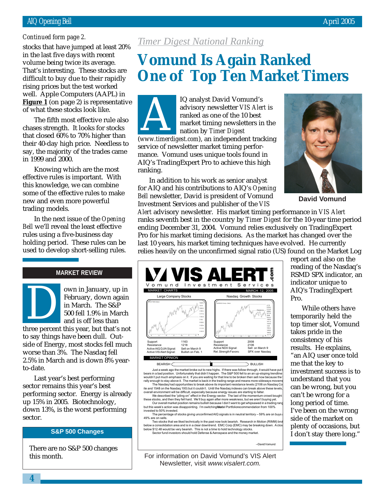#### AIQ Opening Bell April 2005

#### *Continued form page 2.*

volume being twice its average. stocks that have jumped at least 20% in the last five days with recent That's interesting. These stocks are difficult to buy due to their rapidly rising prices but the test worked well. Apple Computers (AAPL) in **Figure 1** (on page 2) is representative of what these stocks look like.

The fifth most effective rule also chases strength. It looks for stocks that closed 60% to 70% higher than their 40-day high price. Needless to say, the majority of the trades came in 1999 and 2000.

Knowing which are the most effective rules is important. With this knowledge, we can combine some of the effective rules to make new and even more powerful trading models.

In the next issue of the *Opening Bell* we'll reveal the least effective rules using a five-business day holding period. These rules can be used to develop short-selling rules.

#### **MARKET REVIEW**

own in January, up in February, down again in March. The S&P 500 fell 1.9% in March and is off less than bown in January, up in<br>February, down again<br>in March. The S&P<br>500 fell 1.9% in March<br>and is off less than<br>three percent this year, but that's not to say things have been dull. Outside of Energy, most stocks fell much worse than 3%. The Nasdaq fell 2.5% in March and is down 8% yearto-date.

Last year's best performing sector remains this year's best performing sector. Energy is already up 15% in 2005. Biotechnology, down 13%, is the worst performing sector.

There are no S&P 500 changes this month.

## *Timer Digest National Ranking*

## **Vomund Is Again Ranked One of Top Ten Market Timers**

IQ analyst David Vomund's advisory newsletter *VIS Alert* is ranked as one of the 10 best market timing newsletters in the nation by *Timer Digest* advisory newsletter *VIS Alert* is<br>
ranked as one of the 10 best<br>
market timing newsletters in the<br>
nation by *Timer Digest*<br>
(www.timerdigest.com), an independent tracking service of newsletter market timing performance. Vomund uses unique tools found in AIQ's TradingExpert Pro to achieve this high ranking.

In addition to his work as senior analyst for AIQ and his contributions to AIQ's *Opening Bell* newsletter, David is president of Vomund Investment Services and publisher of the *VIS*



**David Vomund**

*Alert* advisory newsletter. His market timing performance in *VIS Alert* ranks seventh best in the country by *Timer Digest* for the 10-year time period ending December 31, 2004. Vomund relies exclusively on TradingExpert Pro for his market timing decisions. As the market has changed over the last 10 years, his market timing techniques have evolved. He currently relies heavily on the unconfirmed signal ratio (US) found on the Market Log



Just a week ago the market broke out to new highs. If there was follow-through, it would have put **1**<br>bears in a bad position. Unfortunately that didn't happen. The S&P 500 fell to an an up-sloping trendline<br>wouldn't put m rally enough to stay above it. The market is back in the trading range and means more sideways move The Nasdaq had opportunities to break above its important resistance levels (2106 on Nasdaq Co<br>ite and 1548 on the Nasdaq 100) but it couldn't. Until the Nasdaq indexes can break above these levels,

overall environment will be difficult, especially because energy issues are starting to falter. We described the "piling on" effect in the Energy sector. The last of the momentum crowd bought<br>these stocks, and then they fell hard. We'll buy again after more weakness, but we aren't buying yet.<br>Our overall market posit

invested to 50% invested. The percentage of stocks giving unconfirmed AIQ signals is in neutral territory - 59% are on buys 49% are on sells.

Two stocks that we liked technically in the past now look bearish. Research in Motion (RIMM) bro below a consolidation area and is in a clear downtrend. EMC Corp (EMC) may be breaking down. A close be downte<br>below \$12.48 would be very bearish. This is not a time to hold technology stocks. **S&P 500 Changes** Sector fund investors should be very bearish. This is not a time to hold technology stocks.

--David Vomund

For information on David Vomund's VIS Alert Newsletter, visit www.visalert.com.

report and also on the reading of the Nasdaq's RSMD SPX indicator, an indicator unique to AIQ's TradingExpert Pro.

While others have temporarily held the top timer slot, Vomund takes pride in the consistency of his results. He explains, "an AIQ user once told me that the key to investment success is to understand that you can be wrong, but you can't be wrong for a long period of time. I've been on the wrong side of the market on plenty of occasions, but I don't stay there long."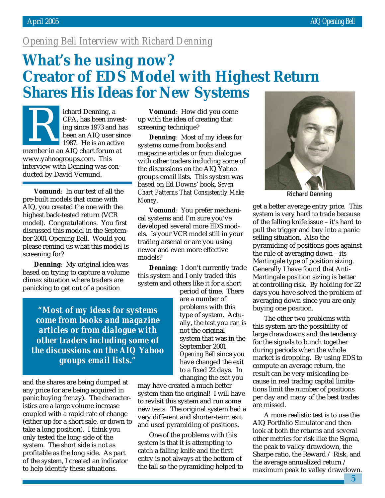## *Opening Bell Interview with Richard Denning*

## **What's he using now? Creator of EDS Model with Highest Return Shares His Ideas for New Systems**

ichard Denning, a CPA, has been investing since 1973 and has been an AIQ user since 1987. He is an active member in an AIQ chart forum at www.yahoogroups.com. This interview with Denning was conducted by David Vomund. CPA, has been invest-<br>CPA, has been invest-<br>ing since 1973 and has screening technique?<br>been an AIQ user since<br>1987. He is an active systems come from books and<br>there is an AIQ chart forum at

**Vomund**: In our test of all the pre-built models that come with AIQ, you created the one with the highest back-tested return (VCR model). Congratulations. You first discussed this model in the September 2001 Opening Bell. Would you please remind us what this model is screening for?

**Denning**: My original idea was based on trying to capture a volume climax situation where traders are panicking to get out of a position

*"Most of my ideas for systems come from books and magazine articles or from dialogue with other traders including some of the discussions on the AIQ Yahoo groups email lists."*

and the shares are being dumped at any price (or are being acquired in panic buying frenzy). The characteristics are a large volume increase coupled with a rapid rate of change (either up for a short sale, or down to take a long position). I think you only tested the long side of the system. The short side is not as profitable as the long side. As part of the system, I created an indicator to help identify these situations.

up with the idea of creating that screening technique?

**Denning**: Most of my ideas for systems come from books and magazine articles or from dialogue with other traders including some of the discussions on the AIQ Yahoo groups email lists. This system was based on Ed Downs' book, *Seven Chart Patterns That Consistently Make Money.*

**Vomund**: You prefer mechanical systems and I'm sure you've developed several more EDS models. Is your VCR model still in your trading arsenal or are you using newer and even more effective models?

**Denning**: I don't currently trade this system and I only traded this system and others like it for a short

> period of time. There are a number of problems with this type of system. Actually, the test you ran is not the original system that was in the September 2001 *Opening Bell* since you have changed the exit to a fixed 22 days. In changing the exit you

may have created a much better system than the original! I will have to revisit this system and run some new tests. The original system had a very different and shorter-term exit and used pyramiding of positions.

One of the problems with this system is that it is attempting to catch a falling knife and the first entry is not always at the bottom of the fall so the pyramiding helped to



**Richard Denning**

get a better average entry price. This system is very hard to trade because of the falling knife issue – it's hard to pull the trigger and buy into a panic selling situation. Also the pyramiding of positions goes against the rule of averaging down – its Martingale type of position sizing. Generally I have found that Anti-Martingale position sizing is better at controlling risk. By holding for 22 days you have solved the problem of averaging down since you are only buying one position.

The other two problems with this system are the possibility of large drawdowns and the tendency for the signals to bunch together during periods when the whole market is dropping. By using EDS to compute an average return, the result can be very misleading because in real trading capital limitations limit the number of positions per day and many of the best trades are missed.

A more realistic test is to use the AIQ Portfolio Simulator and then look at both the returns and several other metrics for risk like the Sigma, the peak to valley drawdown, the Sharpe ratio, the Reward  $\angle$  Risk, and the average annualized return / maximum peak to valley drawdown.

**5**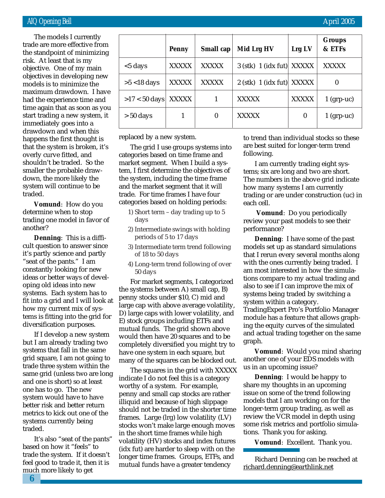risk. At least that is my The models I currently trade are more effective from the standpoint of minimizing objective. One of my main objectives in developing new models is to minimize the maximum drawdown. I have had the experience time and time again that as soon as you start trading a new system, it immediately goes into a drawdown and when this happens the first thought is that the system is broken, it's overly curve fitted, and shouldn't be traded. So the smaller the probable drawdown, the more likely the system will continue to be traded.

**Vomund**: How do you determine when to stop trading one model in favor of another?

**Denning**: This is a difficult question to answer since it's partly science and partly "seat of the pants." I am constantly looking for new ideas or better ways of developing old ideas into new systems. Each system has to fit into a grid and I will look at how my current mix of systems is fitting into the grid for diversification purposes.

If I develop a new system but I am already trading two systems that fall in the same grid square, I am not going to trade three system within the same grid (unless two are long and one is short) so at least one has to go. The new system would have to have better risk and better return metrics to kick out one of the systems currently being traded.

It's also "seat of the pants" based on how it "feels" to trade the system. If it doesn't feel good to trade it, then it is much more likely to get

| <b>Penny</b> | Small cap        | Mid Lrg HV   | Lrg LV       | <b>Groups</b><br>& ETFs                                    |
|--------------|------------------|--------------|--------------|------------------------------------------------------------|
| <b>XXXXX</b> | <b>XXXXX</b>     |              |              | <b>XXXXX</b>                                               |
| <b>XXXXX</b> | <b>XXXXX</b>     |              |              | $\bf{0}$                                                   |
| <b>XXXXX</b> |                  | <b>XXXXX</b> | <b>XXXXX</b> | $1$ (grp-uc)                                               |
|              | $\boldsymbol{0}$ | <b>XXXXX</b> | $\bf{0}$     | $1$ (grp-uc)                                               |
|              |                  |              |              | $3$ (stk) 1 (idx fut) XXXXX<br>$2$ (stk) 1 (idx fut) XXXXX |

replaced by a new system.

The grid I use groups systems into categories based on time frame and market segment. When I build a system, I first determine the objectives of the system, including the time frame and the market segment that it will trade. For time frames I have four categories based on holding periods:

- 1) Short term day trading up to 5 days
- 2) Intermediate swings with holding periods of 5 to 17 days
- 3) Intermediate term trend following of 18 to 50 days
- 4) Long-term trend following of over 50 days

For market segments, I categorized the systems between A) small cap, B) penny stocks under \$10, C) mid and large cap with above average volatility, D) large caps with lower volatility, and E) stock groups including ETFs and mutual funds. The grid shown above would then have 20 squares and to be completely diversified you might try to have one system in each square, but many of the squares can be blocked out.

The squares in the grid with XXXXX indicate I do not feel this is a category worthy of a system. For example, penny and small cap stocks are rather illiquid and because of high slippage should not be traded in the shorter time frames. Large (lrg) low volatility (LV) stocks won't make large enough moves in the short time frames while high volatility (HV) stocks and index futures (idx fut) are harder to sleep with on the longer time frames. Groups, ETFs, and mutual funds have a greater tendency

to trend than individual stocks so these are best suited for longer-term trend following.

I am currently trading eight systems; six are long and two are short. The numbers in the above grid indicate how many systems I am currently trading or are under construction (uc) in each cell.

**Vomund**: Do you periodically review your past models to see their performance?

**Denning**: I have some of the past models set up as standard simulations that I rerun every several months along with the ones currently being traded. I am most interested in how the simulations compare to my actual trading and also to see if I can improve the mix of systems being traded by switching a system within a category. TradingExpert Pro's Portfolio Manager module has a feature that allows graphing the equity curves of the simulated and actual trading together on the same graph.

**Vomund**: Would you mind sharing another one of your EDS models with us in an upcoming issue?

**Denning**: I would be happy to share my thoughts in an upcoming issue on some of the trend following models that I am working on for the longer-term group trading, as well as review the VCR model in depth using some risk metrics and portfolio simulations. Thank you for asking.

**Vomund**: Excellent. Thank you.

Richard Denning can be reached at richard.denning@earthlink.net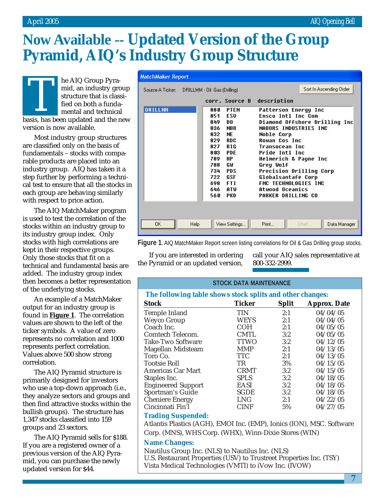# **Now Available -- Updated Version of the Group Pyramid, AIQ's Industry Group Structure**

**MatchMaker Report** 

he AIQ Group Pyramid, an industry group structure that is classified on both a fundamental and technical basis, has been updated and the new version is now available.

Most industry group structures are classified only on the basis of fundamentals – stocks with comparable products are placed into an industry group. AIQ has taken it a step further by performing a technical test to ensure that all the stocks in each group are behaving similarly with respect to price action.

The AIQ MatchMaker program is used to test the correlation of the stocks within an industry group to its industry group index. Only stocks with high correlations are kept in their respective groups. Only those stocks that fit on a technical and fundamental basis are added. The industry group index then becomes a better representation of the underlying stocks.

An example of a MatchMaker output for an industry group is found in **Figure 1**. The correlation values are shown to the left of the ticker symbols. A value of zero represents no correlation and 1000 represents perfect correlation. Values above 500 show strong correlation.

The AIQ Pyramid structure is primarily designed for investors who use a top-down approach (i.e., they analyze sectors and groups and then find attractive stocks within the bullish groups). The structure has 1,347 stocks classified into 159 groups and 23 sectors.

The AIQ Pyramid sells for \$188. If you are a registered owner of a previous version of the AIQ Pyramid, you can purchase the newly updated version for \$44.

| Source A Ticker: DRILLMM - Oil Gas (Drilling) |      |                                                                                                         |                                                                                                                                                        | Sort In Ascending Order                                                                                                                                                                                                                                                                                                                                     |
|-----------------------------------------------|------|---------------------------------------------------------------------------------------------------------|--------------------------------------------------------------------------------------------------------------------------------------------------------|-------------------------------------------------------------------------------------------------------------------------------------------------------------------------------------------------------------------------------------------------------------------------------------------------------------------------------------------------------------|
|                                               |      |                                                                                                         |                                                                                                                                                        | corr. Source B description                                                                                                                                                                                                                                                                                                                                  |
| <b>DRILLMM</b>                                |      | 880<br>851<br>849<br>836.<br>832<br>829<br>827<br>803<br>789<br>788<br>734<br>722<br>698<br>646<br>560. | <b>PTEN</b><br>ESU<br>DO<br><b>NBR</b><br><b>NE</b><br>RDC.<br>R I G<br><b>PDE</b><br>HР<br>GW<br><b>PDS</b><br><b>GSF</b><br><b>FTI</b><br>ATW<br>PKD | Patterson Energy Inc<br><b>Ensco Intl Inc Com</b><br>Diamond Offshore Drilling Inc<br><b>NABORS INDUSTRIES INC</b><br><b>Noble Corp</b><br><b>Rowan Cos Inc</b><br>Transocean Inc<br>Pride Intl Inc<br>Helmerich & Payne Inc<br>Grey Wolf<br>Precision Drilling Corp<br>Globalsantafe Corp<br>FMC TECHNOLOGIES INC<br>Atwood Oceanics<br>PARKER DRILLING CO |
| <b>OK</b>                                     | Help |                                                                                                         | View Settings                                                                                                                                          | Print<br>Data Manager<br>Chart                                                                                                                                                                                                                                                                                                                              |

Figure 1. AIQ MatchMaker Report screen listing correlations for Oil & Gas Drilling group stocks.

If you are interested in ordering the Pyramid or an updated version,

call your AIQ sales representative at 800-332-2999.

#### **STOCK DATA MAINTENANCE**

#### **The following table shows stock splits and other changes:**

| ັ                         |               |              | . .                 |
|---------------------------|---------------|--------------|---------------------|
| <b>Stock</b>              | <b>Ticker</b> | <b>Split</b> | <b>Approx. Date</b> |
| Temple Inland             | <b>TIN</b>    | 2:1          | 04/04/05            |
| <b>Weyco Group</b>        | <b>WEYS</b>   | 2:1          | 04/04/05            |
| Coach Inc.                | COH           | 2:1          | 04/05/05            |
| Comtech Telecom.          | <b>CMTL</b>   | 3:2          | 04/05/05            |
| <b>Take-Two Software</b>  | <b>TTWO</b>   | 3:2          | 04/12/05            |
| Magellan Midsteam         | <b>MMP</b>    | 2:1          | 04/13/05            |
| Toro Co.                  | <b>TTC</b>    | 2:1          | 04/13/05            |
| <b>Tootsie Roll</b>       | TR            | 3%           | 04/15/05            |
| Americas Car Mart         | <b>CRMT</b>   | 3:2          | 04/15/05            |
| Staples Inc.              | <b>SPLS</b>   | 3:2          | 04/18/05            |
| <b>Engineered Support</b> | <b>EASI</b>   | 3:2          | 04/18/05            |
| Sportman's Guide          | <b>SGDE</b>   | 3:2          | 04/18/05            |
| <b>Cheniere Energy</b>    | <b>LNG</b>    | 2:1          | 04/22/05            |
| Cincinnati Fin'l          | <b>CINF</b>   | 5%           | 04/27/05            |
|                           |               |              |                     |

#### **Trading Suspended:**

Atlantis Plastics (AGH), EMOI Inc. (EMP), Ionics (ION), MSC. Software Corp. (MNS), WHS Corp. (WHX), Winn-Dixie Stores (WIN)

#### **Name Changes:**

Nautilus Group Inc. (NLS) to Nautilus Inc. (NLS) U.S. Restaurant Properties (USV) to Trustreet Properties Inc. (TSY) Vista Medical Technologies (VMTI) to iVow Inc. (IVOW)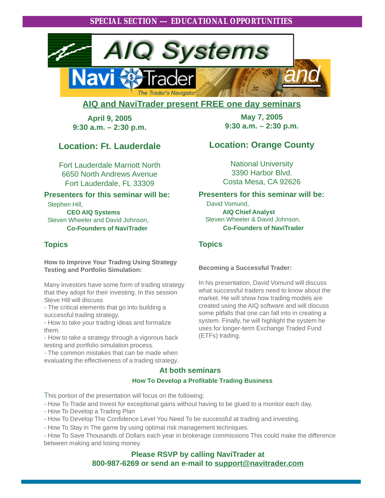

#### **AIQ and NaviTrader present FREE one day seminars**

**April 9, 2005 9:30 a.m. – 2:30 p.m.**

#### **Location: Ft. Lauderdale**

Fort Lauderdale Marriott North 6650 North Andrews Avenue Fort Lauderdale, FL 33309

#### **Presenters for this seminar will be:**

Stephen Hill,

**CEO AIQ Systems** Steven Wheeler and David Johnson, **Co-Founders of NaviTrader**

#### **Topics**

**How to Improve Your Trading Using Strategy Testing and Portfolio Simulation:**

Many investors have some form of trading strategy that they adopt for their investing. In this session Steve Hill will discuss

- The critical elements that go into building a successful trading strategy.

- How to take your trading ideas and formalize them.

- How to take a strategy through a vigorous back testing and portfolio simulation process.

- The common mistakes that can be made when evaluating the effectiveness of a trading strategy.

**May 7, 2005 9:30 a.m. – 2:30 p.m.**

#### **Location: Orange County**

National University 3390 Harbor Blvd. Costa Mesa, CA 92626

#### **Presenters for this seminar will be:**

 David Vomund,  **AIQ Chief Analyst** Steven Wheeler & David Johnson,  **Co-Founders of NaviTrader**

#### **Topics**

**Becoming a Successful Trader:**

In his presentation, David Vomund will discuss what successful traders need to know about the market. He will show how trading models are created using the AIQ software and will discuss some pitfalls that one can fall into in creating a system. Finally, he will highlight the system he uses for longer-term Exchange Traded Fund (ETFs) trading.

#### **At both seminars**

#### **How To Develop a Profitable Trading Business**

This portion of the presentation will focus on the following:

- How To Trade and Invest for exceptional gains without having to be glued to a monitor each day.

- How To Develop a Trading Plan
- How To Develop The Confidence Level You Need To be successful at trading and investing.
- How To Stay in The game by using optimal risk management techniques.

- How To Save Thousands of Dollars each year in brokerage commissions This could make the difference between making and losing money.

> **Please RSVP by calling NaviTrader at 800-987-6269 or send an e-mail to support@navitrader.com**